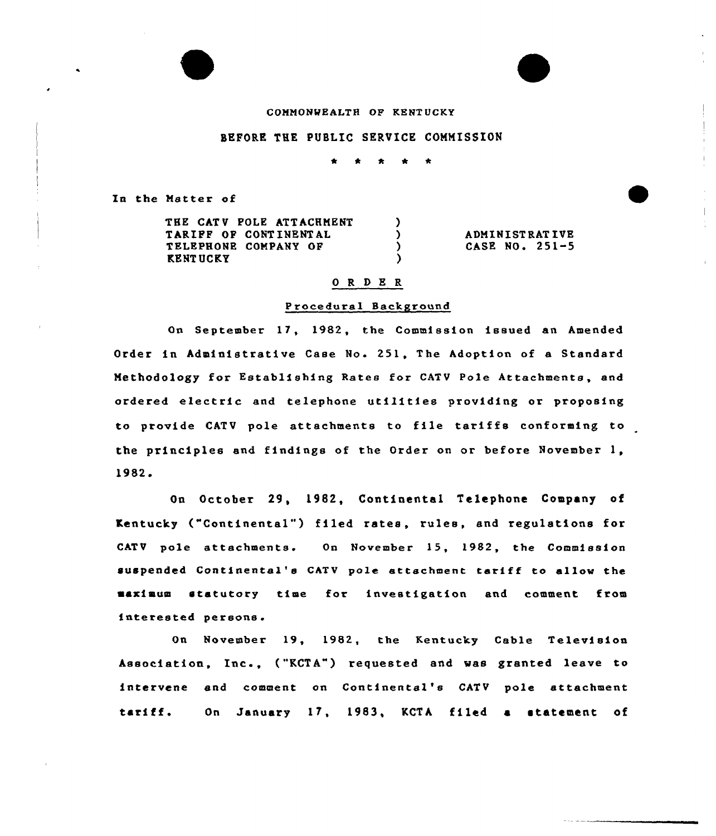# COMMONWEALTH OP KENTUCKY

## BEFORE THE PUBLIC SERVICE COMMISSION

 $\lambda$  $\lambda$  $\lambda$ Y

In the Matter of

THE CATV POLE ATTACHMENT TARIFF OP CONT INENT AL TELEPHONE COMPANY OF KENT UCKY

ADMINI ST RAT IUE CASE NO. 251-5

#### 0 R <sup>D</sup> E R

#### Procedural Background

On September 17, 1982, the Commission issued an Amended Order in Administrative Case No. 251, The Adoption of a Standard Methodology for Establishing Rates for CATV Pole Attachments, and ordered electric and telephone utilities providing or proposing to provide CATV pole attachments to file tariffs conforming to the principles and findings of the Order on or before November 1, 1982.

On October 29, l982, Continental Telephone Company of Kentucky ("Continental") filed rates, rules, and regulations for CATV pole attachments. On November 15, 1982, the Commission suspended Continental's CATV poIe attachment tariff to allow the marimum statutory time for investigation and comment from interested persons.

On November 19, 1982, the Kentucky Cable Television Association, Inc., ("KCTA") requested and was granted leave to intervene and comment on Continental's CATV pole attachment tariff. On January 17, 1983, KCTA filed a statement of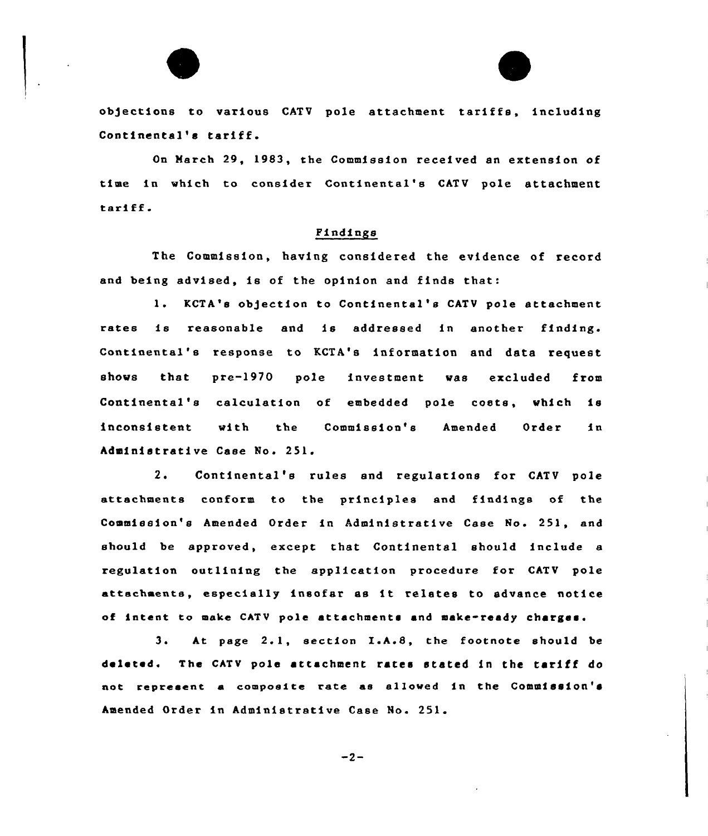

objections to various CATV pole attachment tariffs, including Continental's tariff.

On Harch 29, 1983, the Commission received an extension of time in which to consider Continental's CATV pole attachment tariff

# Pindings

The Commission, having considered the evidence of record and being advised, ie of the opinion and finds that:

1. KCTA's objection to Continental's CATV pole attachment rates is reasonable and is addressed in another finding. Continental's response to KCTA's information and data request shows that pre-1970 pole investment was excluded from Continental's calculation of embedded pole costs, which is inconsistent with the Commission's Amended Order in Administrative Case No. 251.

2. Continental's rules and regulations for CATV pole attachments conform to the principles and findings of the Commission's Amended Order in Administrative Case No. 251, and should be approved, except that Continental should include e regulation outlining the application procedure for CATV pole attachments, especially insofar as it relates to advance notice of intent to make CATV pole attachments and make-ready charges.

3. At page 2.1, section I.A.8, the footnote should be deleted. The CATV pole attachment rates stated in the tariff do not represent a composite rate as allowed in the Commission's Amended Order in Administrative Case No. 251.

 $-2-$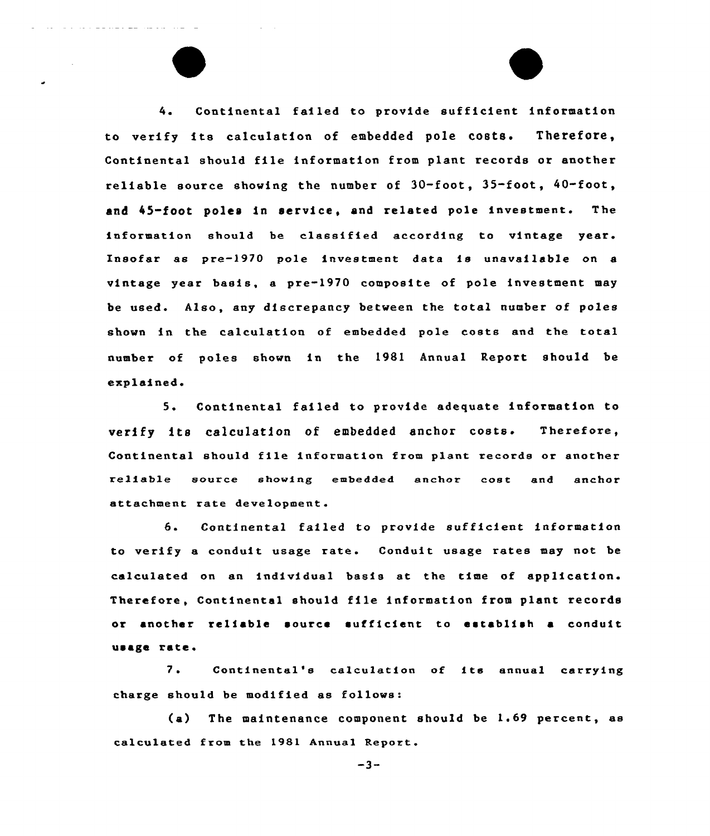4. Continental failed to provide sufficient information to verify its calculation of embedded pole costs. Therefore, Continental should file information from plant records or another reliable source showing the number of  $30$ -foot,  $35$ -foot,  $40$ -foot, and 45-foot poles in service, and related pole investment. The information should be classified according to vintage year. Insofar as pre-1970 pole investment data ie unavailable on a vintage year basis, a pre-1970 composite of pole investment may be used. Also, any discrepancy between the total number of poles shown in the calculation of embedded pole costs and the total number of poles shown in the 1981 Annual Report should, be explained.

5. Continental failed to provide adequate information to verify its calculation of embedded anchor costs. Therefore, Continental should file infoxmation from plant records or anothex reliable source showing embedded anchor cost and anchox" attachment rate development.

6. Continental failed to provide sufficient information to verify a conduit usage rate. Conduit usage rates may not be calculated on an individual basis at the time of application. Therefore, Continental should file information from plant records or another reliable source sufficient to establish a conduit usage rate.

7. Continental's calculation of its annual carrying charge should be modified as follows:

(a) The maintenance component should be 1.69 percent, as calculated from the 1981 Annual Report.

 $-3-$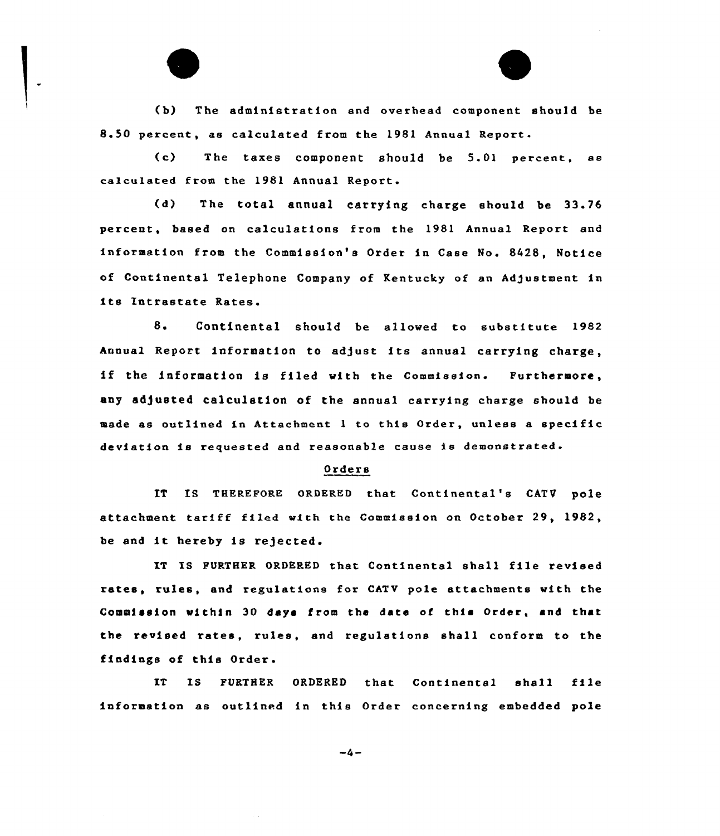(b) The administration and overhead component should be 8.50 percent, as calculated from the 1981 Annual Report.

(c) The taxes component should be 5.01 percent, ae calculated from the 1981 Annual Report.

(d) The total annual carrying charge should be 33.76 percent, based on calculations from the 1981 Annual Report and information from the Commission's Order in Case No. 8428, Notice of Continental Telephone Company of Kentucky of an Adjustment in its Intrastate Rates.

8 <sup>~</sup> Continental should be allowed to substitute 1982 Annual Report information to adjust its annual carrying charge, if the information is filed with the Commission. Furthermore. any adjusted calculation of the annual carrying charge should be made as outlined in Attachment <sup>1</sup> to this Order, unless a specific deviation is requested and reasonable cause is demonstrated.

### Orders

IT IS THEREFORE ORDERED that Continental's CATV pole attachment tariff filed with the Commission on October 29, 1982, be and it hereby is rejected.

IT IS FURTHER ORDERED that Continental shall file revised rates, rules, and regulations for CATV pole attachments with the Commission within 30 days !rom the data of this Order, and that the revised rates, rules, and regulations shall conform to the findings of this Order.

IT IS FURTHER ORDERED that Continental shell file information as outlined in this Order concerning embedded pole

 $-4-$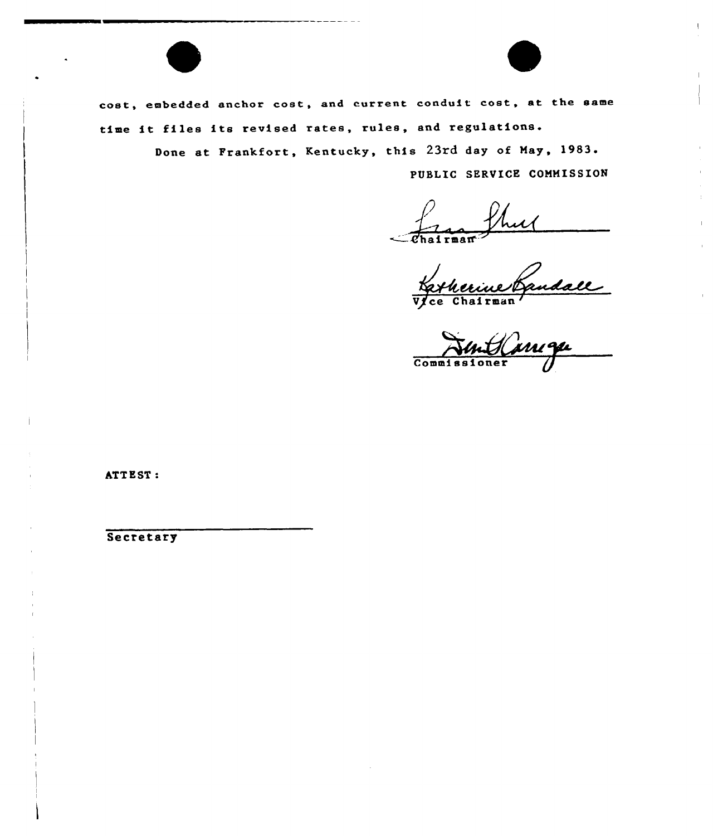cost, embedded anchor cost, and current conduit cost, at the same time it files its revised rates, rules, and regulations.

> Done at Frankfort, Kentucky, this 23rd day of May, 1983. PUBLIC SERVICE COMMISSION

Chairman

Katherine Gandall

ATTEST:

Secretary